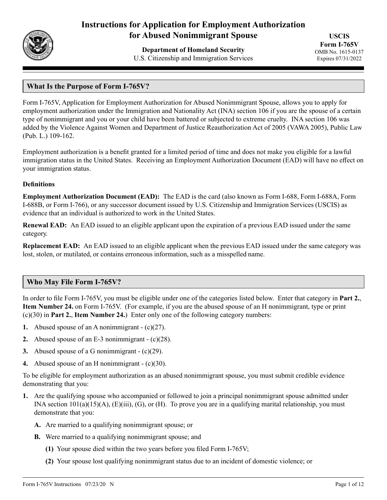

# **Instructions for Application for Employment Authorization for Abused Nonimmigrant Spouse**

**Department of Homeland Security** U.S. Citizenship and Immigration Services

**USCIS Form I-765V** OMB No. 1615-0137 Expires 07/31/2022

# **What Is the Purpose of Form I-765V?**

Form I-765V, Application for Employment Authorization for Abused Nonimmigrant Spouse, allows you to apply for employment authorization under the Immigration and Nationality Act (INA) section 106 if you are the spouse of a certain type of nonimmigrant and you or your child have been battered or subjected to extreme cruelty. INA section 106 was added by the Violence Against Women and Department of Justice Reauthorization Act of 2005 (VAWA 2005), Public Law (Pub. L.) 109-162.

Employment authorization is a benefit granted for a limited period of time and does not make you eligible for a lawful immigration status in the United States. Receiving an Employment Authorization Document (EAD) will have no effect on your immigration status.

#### **Definitions**

**Employment Authorization Document (EAD):** The EAD is the card (also known as Form I-688, Form I-688A, Form I-688B, or Form I-766), or any successor document issued by U.S. Citizenship and Immigration Services (USCIS) as evidence that an individual is authorized to work in the United States.

**Renewal EAD:** An EAD issued to an eligible applicant upon the expiration of a previous EAD issued under the same category.

**Replacement EAD:** An EAD issued to an eligible applicant when the previous EAD issued under the same category was lost, stolen, or mutilated, or contains erroneous information, such as a misspelled name.

#### **Who May File Form I-765V?**

In order to file Form I-765V, you must be eligible under one of the categories listed below. Enter that category in **Part 2.**, **Item Number 24.** on Form I-765V. (For example, if you are the abused spouse of an H nonimmigrant, type or print (c)(30) in **Part 2.**, **Item Number 24.**) Enter only one of the following category numbers:

- **1.** Abused spouse of an A nonimmigrant (c)(27).
- **2.** Abused spouse of an E-3 nonimmigrant (c)(28).
- **3.** Abused spouse of a G nonimmigrant (c)(29).
- **4.** Abused spouse of an H nonimmigrant (c)(30).

To be eligible for employment authorization as an abused nonimmigrant spouse, you must submit credible evidence demonstrating that you:

- **1.** Are the qualifying spouse who accompanied or followed to join a principal nonimmigrant spouse admitted under INA section  $101(a)(15)(A)$ ,  $(E)(iii)$ ,  $(G)$ , or  $(H)$ . To prove you are in a qualifying marital relationship, you must demonstrate that you:
	- **A.** Are married to a qualifying nonimmigrant spouse; or
	- **B.** Were married to a qualifying nonimmigrant spouse; and
		- **(1)** Your spouse died within the two years before you filed Form I-765V;
		- **(2)** Your spouse lost qualifying nonimmigrant status due to an incident of domestic violence; or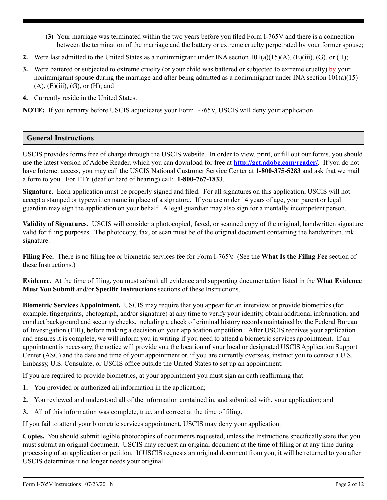- **(3)** Your marriage was terminated within the two years before you filed Form I-765V and there is a connection between the termination of the marriage and the battery or extreme cruelty perpetrated by your former spouse;
- **2.** Were last admitted to the United States as a nonimmigrant under INA section  $101(a)(15)(A)$ ,  $(E)(iii)$ ,  $(G)$ , or  $(H)$ ;
- **3.** Were battered or subjected to extreme cruelty (or your child was battered or subjected to extreme cruelty) by your nonimmigrant spouse during the marriage and after being admitted as a nonimmigrant under INA section  $101(a)(15)$  $(A)$ ,  $(E)(iii)$ ,  $(G)$ , or  $(H)$ ; and
- **4.** Currently reside in the United States.

**NOTE:** If you remarry before USCIS adjudicates your Form I-765V, USCIS will deny your application.

# **General Instructions**

USCIS provides forms free of charge through the USCIS website. In order to view, print, or fill out our forms, you should use the latest version of Adobe Reader, which you can download for free at **<http://get.adobe.com/reader/>**. If you do not have Internet access, you may call the USCIS National Customer Service Center at **1-800-375-5283** and ask that we mail a form to you. For TTY (deaf or hard of hearing) call: **1-800-767-1833**.

**Signature.** Each application must be properly signed and filed. For all signatures on this application, USCIS will not accept a stamped or typewritten name in place of a signature. If you are under 14 years of age, your parent or legal guardian may sign the application on your behalf. A legal guardian may also sign for a mentally incompetent person.

**Validity of Signatures.** USCIS will consider a photocopied, faxed, or scanned copy of the original, handwritten signature valid for filing purposes. The photocopy, fax, or scan must be of the original document containing the handwritten, ink signature.

**Filing Fee.** There is no filing fee or biometric services fee for Form I-765V. (See the **What Is the Filing Fee** section of these Instructions.)

**Evidence.** At the time of filing, you must submit all evidence and supporting documentation listed in the **What Evidence Must You Submit** and/or **Specific Instructions** sections of these Instructions.

**Biometric Services Appointment.** USCIS may require that you appear for an interview or provide biometrics (for example, fingerprints, photograph, and/or signature) at any time to verify your identity, obtain additional information, and conduct background and security checks, including a check of criminal history records maintained by the Federal Bureau of Investigation (FBI), before making a decision on your application or petition. After USCIS receives your application and ensures it is complete, we will inform you in writing if you need to attend a biometric services appointment. If an appointment is necessary, the notice will provide you the location of your local or designated USCIS Application Support Center (ASC) and the date and time of your appointment or, if you are currently overseas, instruct you to contact a U.S. Embassy, U.S. Consulate, or USCIS office outside the United States to set up an appointment.

If you are required to provide biometrics, at your appointment you must sign an oath reaffirming that:

- **1.** You provided or authorized all information in the application;
- **2.** You reviewed and understood all of the information contained in, and submitted with, your application; and
- **3.** All of this information was complete, true, and correct at the time of filing.

If you fail to attend your biometric services appointment, USCIS may deny your application.

**Copies.** You should submit legible photocopies of documents requested, unless the Instructions specifically state that you must submit an original document. USCIS may request an original document at the time of filing or at any time during processing of an application or petition. If USCIS requests an original document from you, it will be returned to you after USCIS determines it no longer needs your original.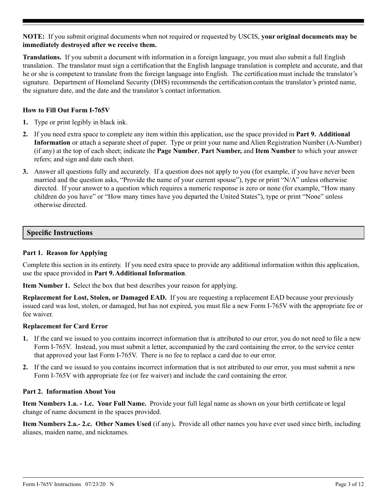**NOTE:** If you submit original documents when not required or requested by USCIS, **your original documents may be immediately destroyed after we receive them.**

**Translations.** If you submit a document with information in a foreign language, you must also submit a full English translation. The translator must sign a certification that the English language translation is complete and accurate, and that he or she is competent to translate from the foreign language into English. The certification must include the translator's signature. Department of Homeland Security (DHS) recommends the certification contain the translator's printed name, the signature date, and the date and the translator's contact information.

#### **How to Fill Out Form I-765V**

- **1.** Type or print legibly in black ink.
- **2.** If you need extra space to complete any item within this application, use the space provided in **Part 9. Additional Information** or attach a separate sheet of paper. Type or print your name and Alien Registration Number (A-Number) (if any) at the top of each sheet; indicate the **Page Number**, **Part Number,** and **Item Number** to which your answer refers; and sign and date each sheet.
- **3.** Answer all questions fully and accurately. If a question does not apply to you (for example, if you have never been married and the question asks, "Provide the name of your current spouse"), type or print "N/A" unless otherwise directed. If your answer to a question which requires a numeric response is zero or none (for example, "How many children do you have" or "How many times have you departed the United States"), type or print "None" unless otherwise directed.

#### **Specific Instructions**

#### **Part 1. Reason for Applying**

Complete this section in its entirety. If you need extra space to provide any additional information within this application, use the space provided in **Part 9. Additional Information**.

**Item Number 1.** Select the box that best describes your reason for applying.

**Replacement for Lost, Stolen, or Damaged EAD.** If you are requesting a replacement EAD because your previously issued card was lost, stolen, or damaged, but has not expired, you must file a new Form I-765V with the appropriate fee or fee waiver.

#### **Replacement for Card Error**

- **1.** If the card we issued to you contains incorrect information that is attributed to our error, you do not need to file a new Form I-765V. Instead, you must submit a letter, accompanied by the card containing the error, to the service center that approved your last Form I-765V. There is no fee to replace a card due to our error.
- **2.** If the card we issued to you contains incorrect information that is not attributed to our error, you must submit a new Form I-765V with appropriate fee (or fee waiver) and include the card containing the error.

#### **Part 2. Information About You**

**Item Numbers 1.a. - 1.c. Your Full Name.** Provide your full legal name as shown on your birth certificate or legal change of name document in the spaces provided.

**Item Numbers 2.a.- 2.c. Other Names Used** (if any)**.** Provide all other names you have ever used since birth, including aliases, maiden name, and nicknames.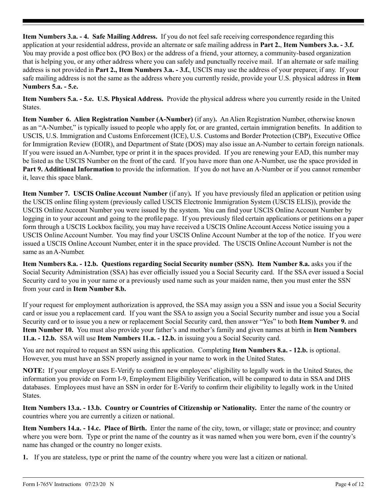**Item Numbers 3.a. - 4. Safe Mailing Address.** If you do not feel safe receiving correspondence regarding this application at your residential address, provide an alternate or safe mailing address in **Part 2.**, **Item Numbers 3.a. - 3.f.**  You may provide a post office box (PO Box) or the address of a friend, your attorney, a community-based organization that is helping you, or any other address where you can safely and punctually receive mail. If an alternate or safe mailing address is not provided in **Part 2., Item Numbers 3.a. - 3.f.**, USCIS may use the address of your preparer, if any. If your safe mailing address is not the same as the address where you currently reside, provide your U.S. physical address in **Item Numbers 5.a. - 5.e.**

**Item Numbers 5.a. - 5.e. U.S. Physical Address.** Provide the physical address where you currently reside in the United States.

**Item Number 6. Alien Registration Number (A-Number)** (if any)**.** An Alien Registration Number, otherwise known as an "A-Number," is typically issued to people who apply for, or are granted, certain immigration benefits. In addition to USCIS, U.S. Immigration and Customs Enforcement (ICE), U.S. Customs and Border Protection (CBP), Executive Office for Immigration Review (EOIR), and Department of State (DOS) may also issue an A-Number to certain foreign nationals. If you were issued an A-Number, type or print it in the spaces provided. If you are renewing your EAD, this number may be listed as the USCIS Number on the front of the card. If you have more than one A-Number, use the space provided in **Part 9. Additional Information** to provide the information. If you do not have an A-Number or if you cannot remember it, leave this space blank.

**Item Number 7. USCIS Online Account Number** (if any)**.** If you have previously filed an application or petition using the USCIS online filing system (previously called USCIS Electronic Immigration System (USCIS ELIS)), provide the USCIS Online Account Number you were issued by the system. You can find your USCIS Online Account Number by logging in to your account and going to the profile page. If you previously filed certain applications or petitions on a paper form through a USCIS Lockbox facility, you may have received a USCIS Online Account Access Notice issuing you a USCIS Online Account Number. You may find your USCIS Online Account Number at the top of the notice. If you were issued a USCIS Online Account Number, enter it in the space provided. The USCIS Online Account Number is not the same as an A-Number.

**Item Numbers 8.a. - 12.b. Questions regarding Social Security number (SSN). Item Number 8.a.** asks you if the Social Security Administration (SSA) has ever officially issued you a Social Security card. If the SSA ever issued a Social Security card to you in your name or a previously used name such as your maiden name, then you must enter the SSN from your card in **Item Number 8.b.**

If your request for employment authorization is approved, the SSA may assign you a SSN and issue you a Social Security card or issue you a replacement card. If you want the SSA to assign you a Social Security number and issue you a Social Security card or to issue you a new or replacement Social Security card, then answer "Yes" to both **Item Number 9.** and **Item Number 10.** You must also provide your father's and mother's family and given names at birth in **Item Numbers 11.a. - 12.b.** SSA will use **Item Numbers 11.a. - 12.b.** in issuing you a Social Security card.

You are not required to request an SSN using this application. Completing **Item Numbers 8.a. - 12.b.** is optional. However, you must have an SSN properly assigned in your name to work in the United States.

**NOTE:** If your employer uses E-Verify to confirm new employees' eligibility to legally work in the United States, the information you provide on Form I-9, Employment Eligibility Verification, will be compared to data in SSA and DHS databases. Employees must have an SSN in order for E-Verify to confirm their eligibility to legally work in the United States.

**Item Numbers 13.a. - 13.b. Country or Countries of Citizenship or Nationality.** Enter the name of the country or countries where you are currently a citizen or national.

**Item Numbers 14.a. - 14.c. Place of Birth.** Enter the name of the city, town, or village; state or province; and country where you were born. Type or print the name of the country as it was named when you were born, even if the country's name has changed or the country no longer exists.

**1.** If you are stateless, type or print the name of the country where you were last a citizen or national.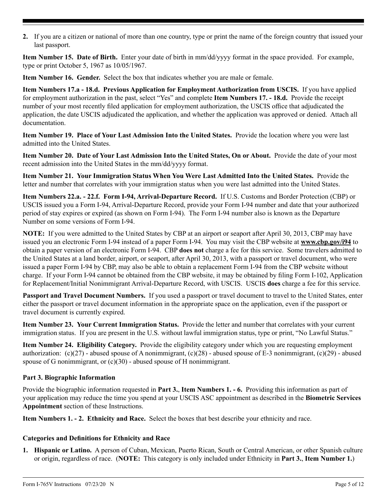**2.** If you are a citizen or national of more than one country, type or print the name of the foreign country that issued your last passport.

**Item Number 15. Date of Birth.** Enter your date of birth in mm/dd/yyyy format in the space provided. For example, type or print October 5, 1967 as 10/05/1967.

**Item Number 16. Gender.** Select the box that indicates whether you are male or female.

**Item Numbers 17.a - 18.d. Previous Application for Employment Authorization from USCIS.** If you have applied for employment authorization in the past, select "Yes" and complete **Item Numbers 17. - 18.d.** Provide the receipt number of your most recently filed application for employment authorization, the USCIS office that adjudicated the application, the date USCIS adjudicated the application, and whether the application was approved or denied. Attach all documentation.

**Item Number 19. Place of Your Last Admission Into the United States.** Provide the location where you were last admitted into the United States.

**Item Number 20. Date of Your Last Admission Into the United States, On or About.** Provide the date of your most recent admission into the United States in the mm/dd/yyyy format.

**Item Number 21. Your Immigration Status When You Were Last Admitted Into the United States.** Provide the letter and number that correlates with your immigration status when you were last admitted into the United States.

**Item Numbers 22.a. - 22.f. Form I-94, Arrival-Departure Record.** If U.S. Customs and Border Protection (CBP) or USCIS issued you a Form I-94, Arrival-Departure Record, provide your Form I-94 number and date that your authorized period of stay expires or expired (as shown on Form I-94). The Form I-94 number also is known as the Departure Number on some versions of Form I-94.

**NOTE:** If you were admitted to the United States by CBP at an airport or seaport after April 30, 2013, CBP may have issued you an electronic Form I-94 instead of a paper Form I-94. You may visit the CBP website at **[www.cbp.gov/i94](http://www.cbp.gov/i94)** to obtain a paper version of an electronic Form I-94. CBP **does not** charge a fee for this service. Some travelers admitted to the United States at a land border, airport, or seaport, after April 30, 2013, with a passport or travel document, who were issued a paper Form I-94 by CBP, may also be able to obtain a replacement Form I-94 from the CBP website without charge. If your Form I-94 cannot be obtained from the CBP website, it may be obtained by filing Form I-102, Application for Replacement/Initial Nonimmigrant Arrival-Departure Record, with USCIS. USCIS **does** charge a fee for this service.

**Passport and Travel Document Numbers.** If you used a passport or travel document to travel to the United States, enter either the passport or travel document information in the appropriate space on the application, even if the passport or travel document is currently expired.

**Item Number 23. Your Current Immigration Status.** Provide the letter and number that correlates with your current immigration status. If you are present in the U.S. without lawful immigration status, type or print, "No Lawful Status."

**Item Number 24. Eligibility Category.** Provide the eligibility category under which you are requesting employment authorization:  $(c)(27)$  - abused spouse of A nonimmigrant,  $(c)(28)$  - abused spouse of E-3 nonimmigrant,  $(c)(29)$  - abused spouse of G nonimmigrant, or  $(c)(30)$  - abused spouse of H nonimmigrant.

#### **Part 3. Biographic Information**

Provide the biographic information requested in **Part 3.**, **Item Numbers 1. - 6.** Providing this information as part of your application may reduce the time you spend at your USCIS ASC appointment as described in the **Biometric Services Appointment** section of these Instructions.

**Item Numbers 1. - 2. Ethnicity and Race.** Select the boxes that best describe your ethnicity and race.

#### **Categories and Definitions for Ethnicity and Race**

**1. Hispanic or Latino.** A person of Cuban, Mexican, Puerto Rican, South or Central American, or other Spanish culture or origin, regardless of race. (**NOTE:** This category is only included under Ethnicity in **Part 3.**, **Item Number 1.**)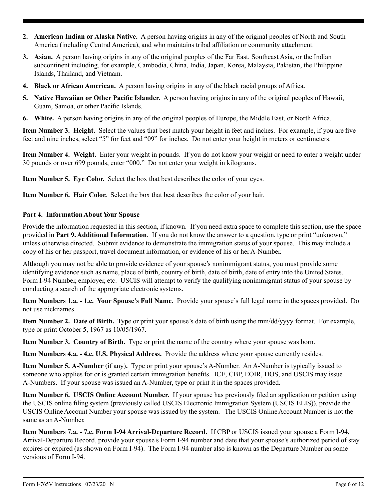- **2. American Indian or Alaska Native.** A person having origins in any of the original peoples of North and South America (including Central America), and who maintains tribal affiliation or community attachment.
- **3. Asian.** A person having origins in any of the original peoples of the Far East, Southeast Asia, or the Indian subcontinent including, for example, Cambodia, China, India, Japan, Korea, Malaysia, Pakistan, the Philippine Islands, Thailand, and Vietnam.
- **4. Black or African American.** A person having origins in any of the black racial groups of Africa.
- **5. Native Hawaiian or Other Pacific Islander.** A person having origins in any of the original peoples of Hawaii, Guam, Samoa, or other Pacific Islands.
- **6. White.** A person having origins in any of the original peoples of Europe, the Middle East, or North Africa.

**Item Number 3. Height.** Select the values that best match your height in feet and inches. For example, if you are five feet and nine inches, select "5" for feet and "09" for inches. Do not enter your height in meters or centimeters.

**Item Number 4. Weight.** Enter your weight in pounds. If you do not know your weight or need to enter a weight under 30 pounds or over 699 pounds, enter "000." Do not enter your weight in kilograms.

**Item Number 5. Eye Color.** Select the box that best describes the color of your eyes.

**Item Number 6. Hair Color.** Select the box that best describes the color of your hair.

#### **Part 4. Information About Your Spouse**

Provide the information requested in this section, if known. If you need extra space to complete this section, use the space provided in **Part 9. Additional Information**. If you do not know the answer to a question, type or print "unknown," unless otherwise directed. Submit evidence to demonstrate the immigration status of your spouse. This may include a copy of his or her passport, travel document information, or evidence of his or her A-Number.

Although you may not be able to provide evidence of your spouse's nonimmigrant status, you must provide some identifying evidence such as name, place of birth, country of birth, date of birth, date of entry into the United States, Form I-94 Number, employer, etc. USCIS will attempt to verify the qualifying nonimmigrant status of your spouse by conducting a search of the appropriate electronic systems.

**Item Numbers 1.a. - 1.c. Your Spouse's Full Name.** Provide your spouse's full legal name in the spaces provided. Do not use nicknames.

**Item Number 2. Date of Birth.** Type or print your spouse's date of birth using the mm/dd/yyyy format. For example, type or print October 5, 1967 as 10/05/1967.

**Item Number 3. Country of Birth.** Type or print the name of the country where your spouse was born.

**Item Numbers 4.a. - 4.e. U.S. Physical Address.** Provide the address where your spouse currently resides.

**Item Number 5. A-Number** (if any)**.** Type or print your spouse's A-Number. An A-Number is typically issued to someone who applies for or is granted certain immigration benefits. ICE, CBP, EOIR, DOS, and USCIS may issue A-Numbers. If your spouse was issued an A-Number, type or print it in the spaces provided.

**Item Number 6. USCIS Online Account Number.** If your spouse has previously filed an application or petition using the USCIS online filing system (previously called USCIS Electronic Immigration System (USCIS ELIS)), provide the USCIS Online Account Number your spouse was issued by the system. The USCIS Online Account Number is not the same as an A-Number.

**Item Numbers 7.a. - 7.e. Form I-94 Arrival-Departure Record.** If CBP or USCIS issued your spouse a Form I-94, Arrival-Departure Record, provide your spouse's Form I-94 number and date that your spouse's authorized period of stay expires or expired (as shown on Form I-94). The Form I-94 number also is known as the Departure Number on some versions of Form I-94.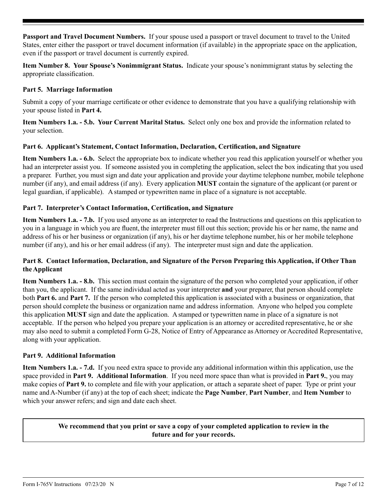**Passport and Travel Document Numbers.** If your spouse used a passport or travel document to travel to the United States, enter either the passport or travel document information (if available) in the appropriate space on the application, even if the passport or travel document is currently expired.

**Item Number 8. Your Spouse's Nonimmigrant Status.** Indicate your spouse's nonimmigrant status by selecting the appropriate classification.

# **Part 5. Marriage Information**

Submit a copy of your marriage certificate or other evidence to demonstrate that you have a qualifying relationship with your spouse listed in **Part 4.**

**Item Numbers 1.a. - 5.b. Your Current Marital Status.** Select only one box and provide the information related to your selection.

#### **Part 6. Applicant's Statement, Contact Information, Declaration, Certification, and Signature**

**Item Numbers 1.a. - 6.b.** Select the appropriate box to indicate whether you read this application yourself or whether you had an interpreter assist you. If someone assisted you in completing the application, select the box indicating that you used a preparer. Further, you must sign and date your application and provide your daytime telephone number, mobile telephone number (if any), and email address (if any). Every application **MUST** contain the signature of the applicant (or parent or legal guardian, if applicable). A stamped or typewritten name in place of a signature is not acceptable.

#### **Part 7. Interpreter's Contact Information, Certification, and Signature**

**Item Numbers 1.a. - 7.b.** If you used anyone as an interpreter to read the Instructions and questions on this application to you in a language in which you are fluent, the interpreter must fill out this section; provide his or her name, the name and address of his or her business or organization (if any), his or her daytime telephone number, his or her mobile telephone number (if any), and his or her email address (if any). The interpreter must sign and date the application.

# **Part 8. Contact Information, Declaration, and Signature of the Person Preparing this Application, if Other Than the Applicant**

**Item Numbers 1.a. - 8.b.** This section must contain the signature of the person who completed your application, if other than you, the applicant. If the same individual acted as your interpreter **and** your preparer, that person should complete both **Part 6.** and **Part 7.** If the person who completed this application is associated with a business or organization, that person should complete the business or organization name and address information. Anyone who helped you complete this application **MUST** sign and date the application. A stamped or typewritten name in place of a signature is not acceptable. If the person who helped you prepare your application is an attorney or accredited representative, he or she may also need to submit a completed Form G-28, Notice of Entry of Appearance as Attorney or Accredited Representative, along with your application.

#### **Part 9. Additional Information**

**Item Numbers 1.a. - 7.d.** If you need extra space to provide any additional information within this application, use the space provided in **Part 9. Additional Information**. If you need more space than what is provided in **Part 9.**, you may make copies of **Part 9.** to complete and file with your application, or attach a separate sheet of paper. Type or print your name and A-Number (if any) at the top of each sheet; indicate the **Page Number**, **Part Number**, and **Item Number** to which your answer refers; and sign and date each sheet.

> **We recommend that you print or save a copy of your completed application to review in the future and for your records.**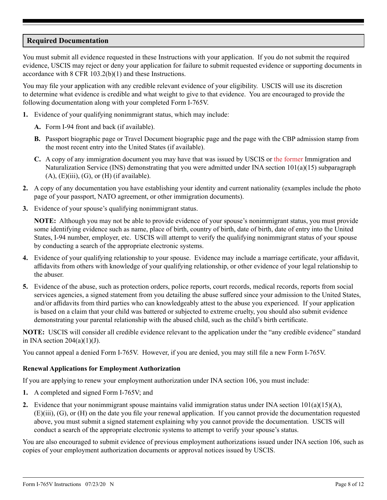# **Required Documentation**

You must submit all evidence requested in these Instructions with your application. If you do not submit the required evidence, USCIS may reject or deny your application for failure to submit requested evidence or supporting documents in accordance with 8 CFR 103.2(b)(1) and these Instructions.

You may file your application with any credible relevant evidence of your eligibility. USCIS will use its discretion to determine what evidence is credible and what weight to give to that evidence. You are encouraged to provide the following documentation along with your completed Form I-765V.

- **1.** Evidence of your qualifying nonimmigrant status, which may include:
	- **A.** Form I-94 front and back (if available).
	- **B.** Passport biographic page or Travel Document biographic page and the page with the CBP admission stamp from the most recent entry into the United States (if available).
	- **C.** A copy of any immigration document you may have that was issued by USCIS or the former Immigration and Naturalization Service (INS) demonstrating that you were admitted under INA section  $101(a)(15)$  subparagraph  $(A)$ ,  $(E)(iii)$ ,  $(G)$ , or  $(H)$  (if available).
- **2.** A copy of any documentation you have establishing your identity and current nationality (examples include the photo page of your passport, NATO agreement, or other immigration documents).
- **3.** Evidence of your spouse's qualifying nonimmigrant status.

**NOTE:** Although you may not be able to provide evidence of your spouse's nonimmigrant status, you must provide some identifying evidence such as name, place of birth, country of birth, date of birth, date of entry into the United States, I-94 number, employer, etc. USCIS will attempt to verify the qualifying nonimmigrant status of your spouse by conducting a search of the appropriate electronic systems.

- **4.** Evidence of your qualifying relationship to your spouse. Evidence may include a marriage certificate, your affidavit, affidavits from others with knowledge of your qualifying relationship, or other evidence of your legal relationship to the abuser.
- **5.** Evidence of the abuse, such as protection orders, police reports, court records, medical records, reports from social services agencies, a signed statement from you detailing the abuse suffered since your admission to the United States, and/or affidavits from third parties who can knowledgeably attest to the abuse you experienced. If your application is based on a claim that your child was battered or subjected to extreme cruelty, you should also submit evidence demonstrating your parental relationship with the abused child, such as the child's birth certificate.

**NOTE:** USCIS will consider all credible evidence relevant to the application under the "any credible evidence" standard in INA section  $204(a)(1)(J)$ .

You cannot appeal a denied Form I-765V. However, if you are denied, you may still file a new Form I-765V.

# **Renewal Applications for Employment Authorization**

If you are applying to renew your employment authorization under INA section 106, you must include:

- **1.** A completed and signed Form I-765V; and
- **2.** Evidence that your nonimmigrant spouse maintains valid immigration status under INA section 101(a)(15)(A), (E)(iii), (G), or (H) on the date you file your renewal application. If you cannot provide the documentation requested above, you must submit a signed statement explaining why you cannot provide the documentation. USCIS will conduct a search of the appropriate electronic systems to attempt to verify your spouse's status.

You are also encouraged to submit evidence of previous employment authorizations issued under INA section 106, such as copies of your employment authorization documents or approval notices issued by USCIS.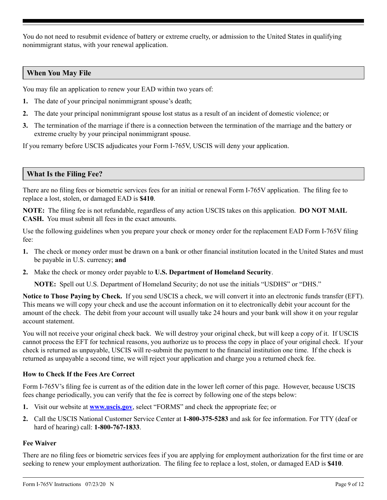You do not need to resubmit evidence of battery or extreme cruelty, or admission to the United States in qualifying nonimmigrant status, with your renewal application.

# **When You May File**

You may file an application to renew your EAD within two years of:

- **1.** The date of your principal nonimmigrant spouse's death;
- **2.** The date your principal nonimmigrant spouse lost status as a result of an incident of domestic violence; or
- **3.** The termination of the marriage if there is a connection between the termination of the marriage and the battery or extreme cruelty by your principal nonimmigrant spouse.

If you remarry before USCIS adjudicates your Form I-765V, USCIS will deny your application.

# **What Is the Filing Fee?**

There are no filing fees or biometric services fees for an initial or renewal Form I-765V application. The filing fee to replace a lost, stolen, or damaged EAD is **\$410**.

**NOTE:** The filing fee is not refundable, regardless of any action USCIS takes on this application. **DO NOT MAIL CASH.** You must submit all fees in the exact amounts.

Use the following guidelines when you prepare your check or money order for the replacement EAD Form I-765V filing fee:

- **1.** The check or money order must be drawn on a bank or other financial institution located in the United States and must be payable in U.S. currency; **and**
- **2.** Make the check or money order payable to **U.S. Department of Homeland Security**.

**NOTE:** Spell out U.S. Department of Homeland Security; do not use the initials "USDHS" or "DHS."

**Notice to Those Paying by Check.** If you send USCIS a check, we will convert it into an electronic funds transfer (EFT). This means we will copy your check and use the account information on it to electronically debit your account for the amount of the check. The debit from your account will usually take 24 hours and your bank will show it on your regular account statement.

You will not receive your original check back. We will destroy your original check, but will keep a copy of it. If USCIS cannot process the EFT for technical reasons, you authorize us to process the copy in place of your original check. If your check is returned as unpayable, USCIS will re-submit the payment to the financial institution one time. If the check is returned as unpayable a second time, we will reject your application and charge you a returned check fee.

# **How to Check If the Fees Are Correct**

Form I-765V's filing fee is current as of the edition date in the lower left corner of this page. However, because USCIS fees change periodically, you can verify that the fee is correct by following one of the steps below:

- **1.** Visit our website at **[www.uscis.gov](http://www.uscis.gov)**, select "FORMS" and check the appropriate fee; or
- **2.** Call the USCIS National Customer Service Center at **1-800-375-5283** and ask for fee information. For TTY (deaf or hard of hearing) call: **1-800-767-1833**.

# **Fee Waiver**

There are no filing fees or biometric services fees if you are applying for employment authorization for the first time or are seeking to renew your employment authorization. The filing fee to replace a lost, stolen, or damaged EAD is **\$410**.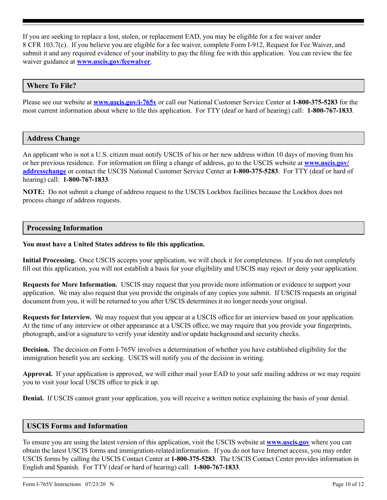If you are seeking to replace a lost, stolen, or replacement EAD, you may be eligible for a fee waiver under 8 CFR 103.7(c). If you believe you are eligible for a fee waiver, complete Form I-912, Request for Fee Waiver, and submit it and any required evidence of your inability to pay the filing fee with this application. You can review the fee waiver guidance at **[www.uscis.gov/feewaiver](http://www.uscis.gov/feewaiver)**.

# **Where To File?**

Please see our website at **[www.uscis.gov/i-765v](http://www.uscis.gov/i-765v)** or call our National Customer Service Center at **1-800-375-5283** for the most current information about where to file this application. For TTY (deaf or hard of hearing) call: **1-800-767-1833**.

#### **Address Change**

An applicant who is not a U.S. citizen must notify USCIS of his or her new address within 10 days of moving from his or her previous residence. For information on filing a change of address, go to the USCIS website at **[www.uscis.gov/](http://www.uscis.gov/addresschange) [addresschange](http://www.uscis.gov/addresschange)** or contact the USCIS National Customer Service Center at **1-800-375-5283**. For TTY (deaf or hard of hearing) call: **1-800-767-1833**.

**NOTE:** Do not submit a change of address request to the USCIS Lockbox facilities because the Lockbox does not process change of address requests.

#### **Processing Information**

#### **You must have a United States address to file this application.**

**Initial Processing.** Once USCIS accepts your application, we will check it for completeness. If you do not completely fill out this application, you will not establish a basis for your eligibility and USCIS may reject or deny your application.

**Requests for More Information.** USCIS may request that you provide more information or evidence to support your application. We may also request that you provide the originals of any copies you submit. If USCIS requests an original document from you, it will be returned to you after USCIS determines it no longer needs your original.

**Requests for Interview.** We may request that you appear at a USCIS office for an interview based on your application. At the time of any interview or other appearance at a USCIS office, we may require that you provide your fingerprints, photograph, and/or a signature to verify your identity and/or update background and security checks.

**Decision.** The decision on Form I-765V involves a determination of whether you have established eligibility for the immigration benefit you are seeking. USCIS will notify you of the decision in writing.

**Approval.** If your application is approved, we will either mail your EAD to your safe mailing address or we may require you to visit your local USCIS office to pick it up.

**Denial.** If USCIS cannot grant your application, you will receive a written notice explaining the basis of your denial.

#### **USCIS Forms and Information**

To ensure you are using the latest version of this application, visit the USCIS website at **[www.uscis.gov](http://www.uscis.gov)** where you can obtain the latest USCIS forms and immigration-related information. If you do not have Internet access, you may order USCIS forms by calling the USCIS Contact Center at **1-800-375-5283**. The USCIS Contact Center provides information in English and Spanish. For TTY (deaf or hard of hearing) call: **1-800-767-1833**.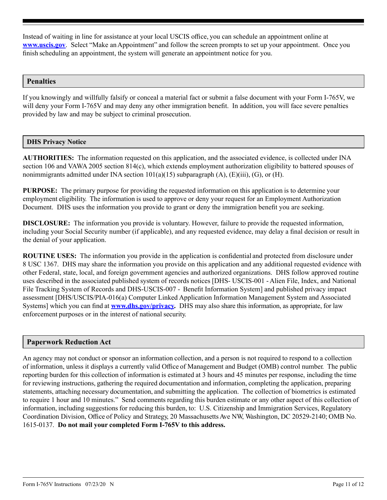Instead of waiting in line for assistance at your local USCIS office, you can schedule an appointment online at **[www.uscis.gov](http://www.uscis.gov)**. Select "Make an Appointment" and follow the screen prompts to set up your appointment. Once you finish scheduling an appointment, the system will generate an appointment notice for you.

### **Penalties**

If you knowingly and willfully falsify or conceal a material fact or submit a false document with your Form I-765V, we will deny your Form I-765V and may deny any other immigration benefit. In addition, you will face severe penalties provided by law and may be subject to criminal prosecution.

#### **DHS Privacy Notice**

**AUTHORITIES:** The information requested on this application, and the associated evidence, is collected under INA section 106 and VAWA 2005 section 814(c), which extends employment authorization eligibility to battered spouses of nonimmigrants admitted under INA section  $101(a)(15)$  subparagraph  $(A)$ ,  $(E)(iii)$ ,  $(G)$ , or  $(H)$ .

**PURPOSE:** The primary purpose for providing the requested information on this application is to determine your employment eligibility. The information is used to approve or deny your request for an Employment Authorization Document. DHS uses the information you provide to grant or deny the immigration benefit you are seeking.

**DISCLOSURE:** The information you provide is voluntary. However, failure to provide the requested information, including your Social Security number (if applicable), and any requested evidence, may delay a final decision or result in the denial of your application.

**ROUTINE USES:** The information you provide in the application is confidential and protected from disclosure under 8 USC 1367. DHS may share the information you provide on this application and any additional requested evidence with other Federal, state, local, and foreign government agencies and authorized organizations. DHS follow approved routine uses described in the associated published system of records notices [DHS- USCIS-001 - Alien File, Index, and National File Tracking System of Records and DHS-USCIS-007 - Benefit Information System] and published privacy impact assessment [DHS/USCIS/PIA-016(a) Computer Linked Application Information Management System and Associated Systems] which you can find at **[www.dhs.gov/privacy](http://www.dhs.gov/privacy).** DHS may also share this information, as appropriate, for law enforcement purposes or in the interest of national security.

# **Paperwork Reduction Act**

An agency may not conduct or sponsor an information collection, and a person is not required to respond to a collection of information, unless it displays a currently valid Office of Management and Budget (OMB) control number. The public reporting burden for this collection of information is estimated at 3 hours and 45 minutes per response, including the time for reviewing instructions, gathering the required documentation and information, completing the application, preparing statements, attaching necessary documentation, and submitting the application. The collection of biometrics is estimated to require 1 hour and 10 minutes." Send comments regarding this burden estimate or any other aspect of this collection of information, including suggestions for reducing this burden, to: U.S. Citizenship and Immigration Services, Regulatory Coordination Division, Office of Policy and Strategy, 20 Massachusetts Ave NW, Washington, DC 20529-2140; OMB No. 1615-0137. **Do not mail your completed Form I-765V to this address.**